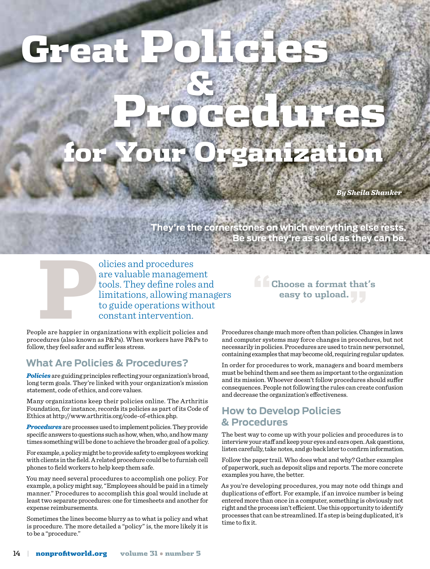# Great Policies &

Procedures for Your Organization

*By Sheila Shanker*

**They're the cornerstones on which everything else rests. Be sure they're as solid as they can be.**

olicies and procedures<br>are valuable management<br>tools. They define roles<br>limitations, allowing m<br>to guide operations with<br>constant intervention.<br>ple are happier in organizations with explicit policies<br>redures (also known as are valuable management tools. They define roles and limitations, allowing managers to guide operations without constant intervention.

People are happier in organizations with explicit policies and procedures (also known as P&Ps). When workers have P&Ps to follow, they feel safer and suffer less stress.

# **What Are Policies & Procedures?**

*Policies* are guiding principles reflecting your organization's broad, long term goals. They're linked with your organization's mission statement, code of ethics, and core values.

Many organizations keep their policies online. The Arthritis Foundation, for instance, records its policies as part of its Code of Ethics at http://www.arthritis.org/code-of-ethics.php.

*Procedures* are processes used to implement policies. They provide specific answers to questions such as how, when, who, and how many times something will be done to achieve the broader goal of a policy.

For example, a policy might be to provide safety to employees working with clients in the field. A related procedure could be to furnish cell phones to field workers to help keep them safe.

You may need several procedures to accomplish one policy. For example, a policy might say, "Employees should be paid in a timely manner." Procedures to accomplish this goal would include at least two separate procedures: one for timesheets and another for expense reimbursements.

Sometimes the lines become blurry as to what is policy and what is procedure. The more detailed a "policy" is, the more likely it is to be a "procedure."

**easy to upload."**

**"Choose a format that's** 

Procedures change much more often than policies. Changes in laws and computer systems may force changes in procedures, but not necessarily in policies. Procedures are used to train new personnel, containing examples that may become old, requiring regular updates.

In order for procedures to work, managers and board members must be behind them and see them as important to the organization and its mission. Whoever doesn't follow procedures should suffer consequences. People not following the rules can create confusion and decrease the organization's effectiveness.

# **How to Develop Policies & Procedures**

The best way to come up with your policies and procedures is to interview your staff and keep your eyes and ears open. Ask questions, listen carefully, take notes, and go back later to confirm information.

Follow the paper trail. Who does what and why? Gather examples of paperwork, such as deposit slips and reports. The more concrete examples you have, the better.

As you're developing procedures, you may note odd things and duplications of effort. For example, if an invoice number is being entered more than once in a computer, something is obviously not right and the process isn't efficient. Use this opportunity to identify processes that can be streamlined. If a step is being duplicated, it's time to fix it.